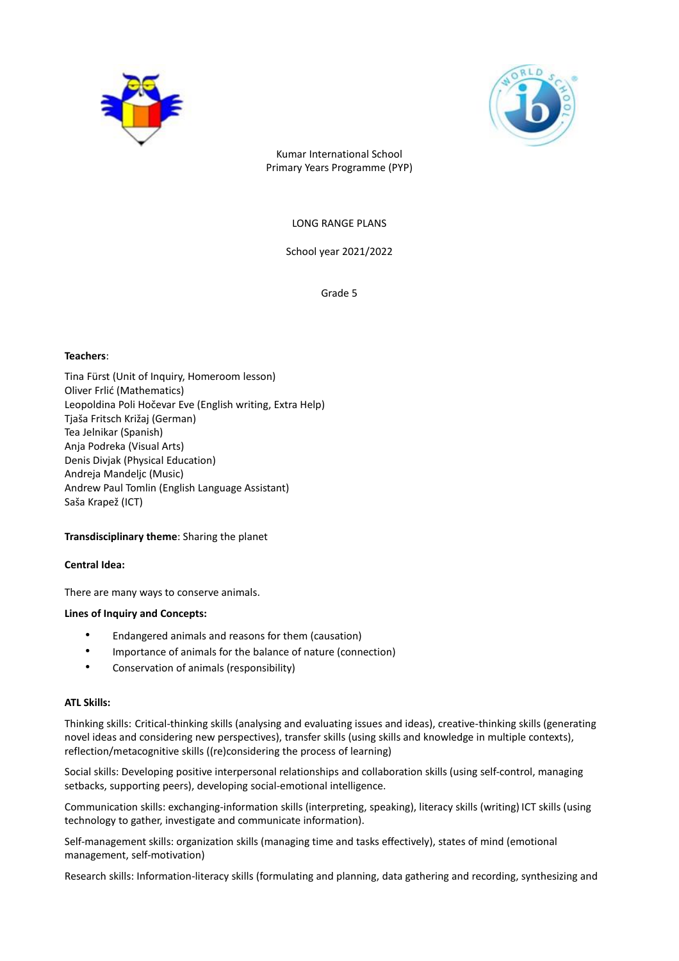



Kumar International School Primary Years Programme (PYP)

LONG RANGE PLANS

School year 2021/2022

Grade 5

### **Teachers**:

Tina Fürst (Unit of Inquiry, Homeroom lesson) Oliver Frlić (Mathematics) Leopoldina Poli Hočevar Eve (English writing, Extra Help) Tjaša Fritsch Križaj (German) Tea Jelnikar (Spanish) Anja Podreka (Visual Arts) Denis Divjak (Physical Education) Andreja Mandeljc (Music) Andrew Paul Tomlin (English Language Assistant) Saša Krapež (ICT)

# **Transdisciplinary theme**: Sharing the planet

# **Central Idea:**

There are many ways to conserve animals.

#### **Lines of Inquiry and Concepts:**

- Endangered animals and reasons for them (causation)
- Importance of animals for the balance of nature (connection)
- Conservation of animals (responsibility)

#### **ATL Skills:**

Thinking skills: Critical-thinking skills (analysing and evaluating issues and ideas), creative-thinking skills (generating novel ideas and considering new perspectives), transfer skills (using skills and knowledge in multiple contexts), reflection/metacognitive skills ((re)considering the process of learning)

Social skills: Developing positive interpersonal relationships and collaboration skills (using self-control, managing setbacks, supporting peers), developing social-emotional intelligence.

Communication skills: exchanging-information skills (interpreting, speaking), literacy skills (writing) ICT skills (using technology to gather, investigate and communicate information).

Self-management skills: organization skills (managing time and tasks effectively), states of mind (emotional management, self-motivation)

Research skills: Information-literacy skills (formulating and planning, data gathering and recording, synthesizing and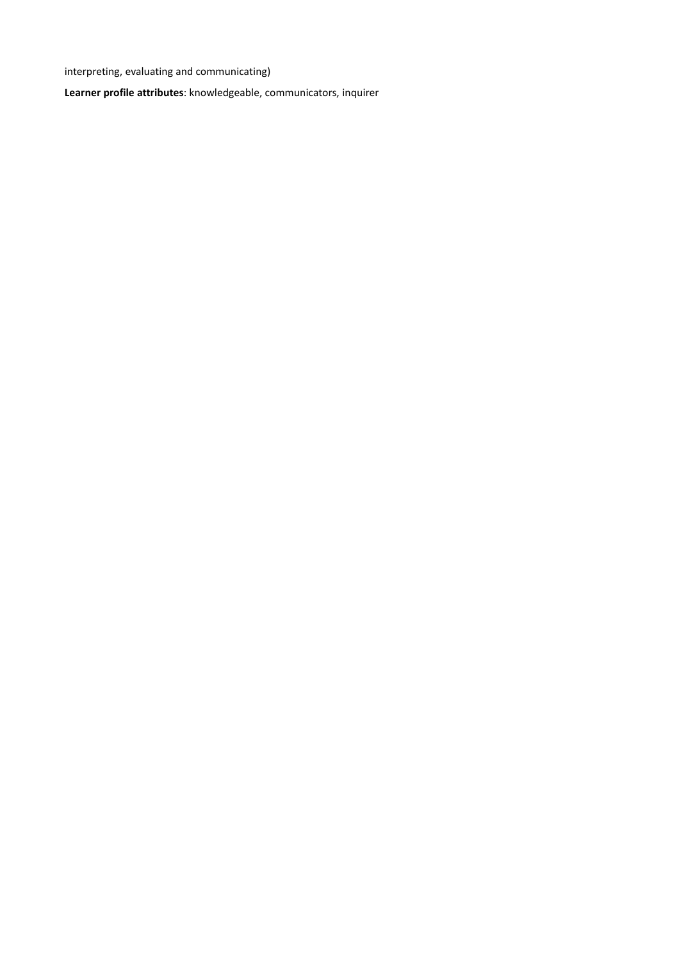interpreting, evaluating and communicating)

**Learner profile attributes**: knowledgeable, communicators, inquirer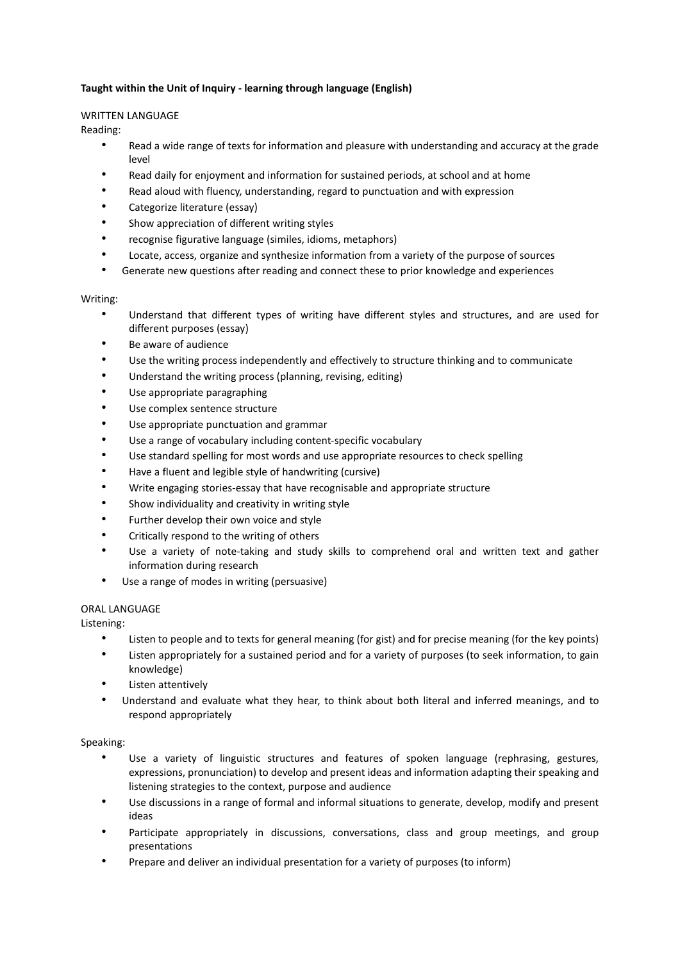# **Taught within the Unit of Inquiry - learning through language (English)**

# WRITTEN LANGUAGE

Reading:

- Read a wide range of texts for information and pleasure with understanding and accuracy at the grade level
- Read daily for enjoyment and information for sustained periods, at school and at home
- Read aloud with fluency, understanding, regard to punctuation and with expression
- Categorize literature (essay)
- Show appreciation of different writing styles
- recognise figurative language (similes, idioms, metaphors)
- Locate, access, organize and synthesize information from a variety of the purpose of sources
- Generate new questions after reading and connect these to prior knowledge and experiences

# Writing:

- Understand that different types of writing have different styles and structures, and are used for different purposes (essay)
- Be aware of audience
- Use the writing process independently and effectively to structure thinking and to communicate
- Understand the writing process (planning, revising, editing)
- Use appropriate paragraphing
- Use complex sentence structure
- Use appropriate punctuation and grammar
- Use a range of vocabulary including content-specific vocabulary
- Use standard spelling for most words and use appropriate resources to check spelling
- Have a fluent and legible style of handwriting (cursive)
- Write engaging stories-essay that have recognisable and appropriate structure
- Show individuality and creativity in writing style
- Further develop their own voice and style
- Critically respond to the writing of others
- Use a variety of note-taking and study skills to comprehend oral and written text and gather information during research
- Use a range of modes in writing (persuasive)

# ORAL LANGUAGE

Listening:

- Listen to people and to texts for general meaning (for gist) and for precise meaning (for the key points)
- Listen appropriately for a sustained period and for a variety of purposes (to seek information, to gain knowledge)
- Listen attentively
- Understand and evaluate what they hear, to think about both literal and inferred meanings, and to respond appropriately

# Speaking:

- Use a variety of linguistic structures and features of spoken language (rephrasing, gestures, expressions, pronunciation) to develop and present ideas and information adapting their speaking and listening strategies to the context, purpose and audience
- Use discussions in a range of formal and informal situations to generate, develop, modify and present ideas
- Participate appropriately in discussions, conversations, class and group meetings, and group presentations
- Prepare and deliver an individual presentation for a variety of purposes (to inform)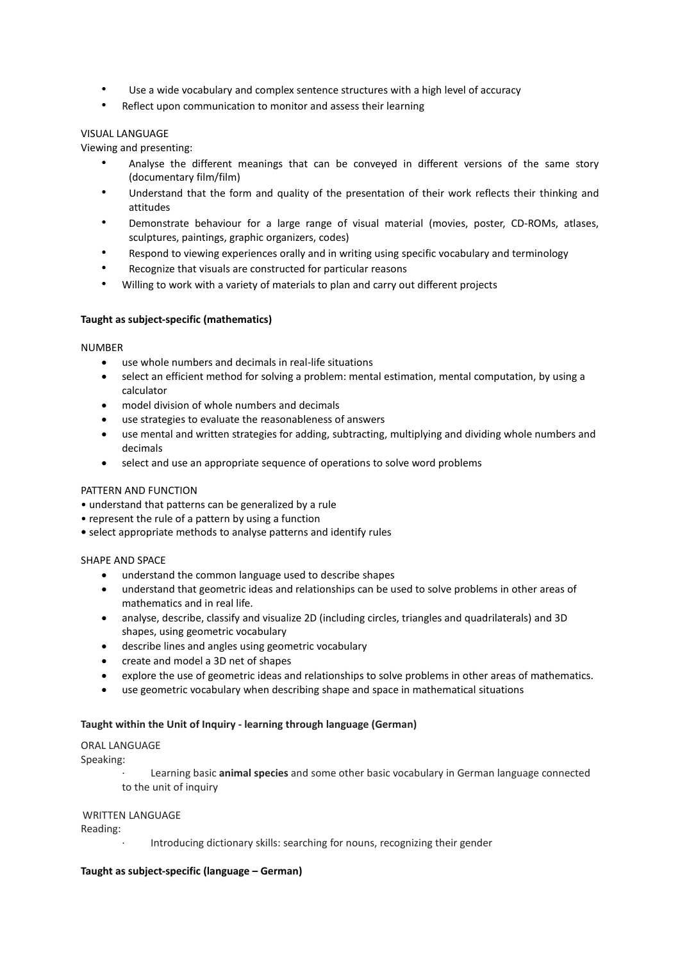- Use a wide vocabulary and complex sentence structures with a high level of accuracy
- Reflect upon communication to monitor and assess their learning

# VISUAL LANGUAGE

Viewing and presenting:

- Analyse the different meanings that can be conveyed in different versions of the same story (documentary film/film)
- Understand that the form and quality of the presentation of their work reflects their thinking and attitudes
- Demonstrate behaviour for a large range of visual material (movies, poster, CD-ROMs, atlases, sculptures, paintings, graphic organizers, codes)
- Respond to viewing experiences orally and in writing using specific vocabulary and terminology
- Recognize that visuals are constructed for particular reasons
- Willing to work with a variety of materials to plan and carry out different projects

# **Taught as subject-specific (mathematics)**

### **NUMBER**

- use whole numbers and decimals in real-life situations
- select an efficient method for solving a problem: mental estimation, mental computation, by using a calculator
- model division of whole numbers and decimals
- use strategies to evaluate the reasonableness of answers
- use mental and written strategies for adding, subtracting, multiplying and dividing whole numbers and decimals
- select and use an appropriate sequence of operations to solve word problems

# PATTERN AND FUNCTION

- understand that patterns can be generalized by a rule
- represent the rule of a pattern by using a function
- **•** select appropriate methods to analyse patterns and identify rules

# SHAPE AND SPACE

- understand the common language used to describe shapes
- understand that geometric ideas and relationships can be used to solve problems in other areas of mathematics and in real life.
- analyse, describe, classify and visualize 2D (including circles, triangles and quadrilaterals) and 3D shapes, using geometric vocabulary
- describe lines and angles using geometric vocabulary
- create and model a 3D net of shapes
- explore the use of geometric ideas and relationships to solve problems in other areas of mathematics.
- use geometric vocabulary when describing shape and space in mathematical situations

# **Taught within the Unit of Inquiry - learning through language (German)**

# ORAL LANGUAGE

Speaking:

· Learning basic **animal species** and some other basic vocabulary in German language connected to the unit of inquiry

# WRITTEN LANGUAGE

Reading:

Introducing dictionary skills: searching for nouns, recognizing their gender

# **Taught as subject-specific (language – German)**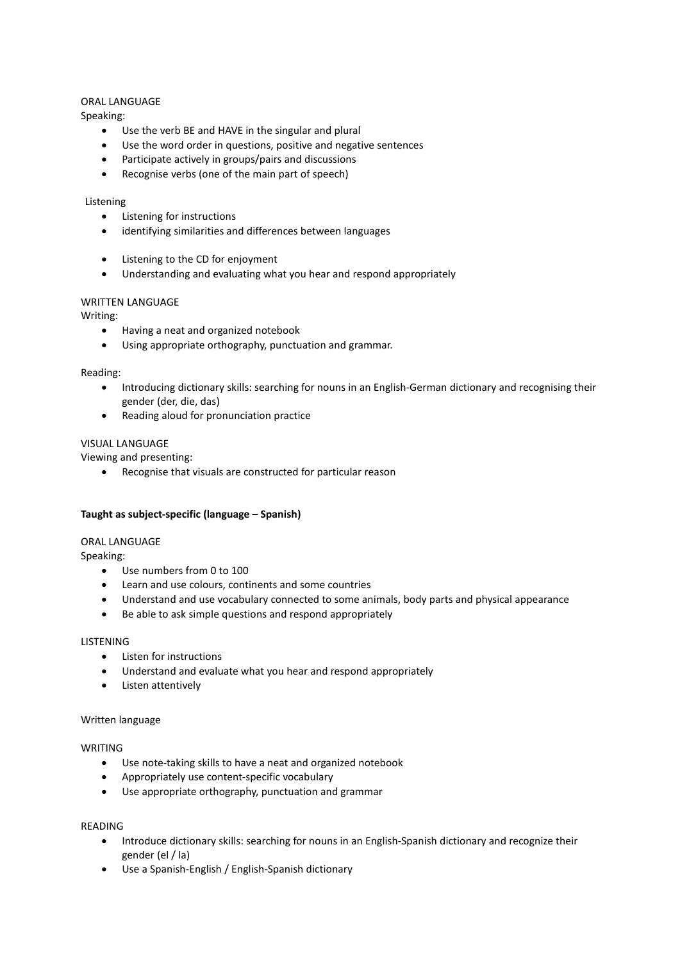### ORAL LANGUAGE

Speaking:

- Use the verb BE and HAVE in the singular and plural
- Use the word order in questions, positive and negative sentences
- Participate actively in groups/pairs and discussions
- Recognise verbs (one of the main part of speech)

### Listening

- Listening for instructions
- identifying similarities and differences between languages
- Listening to the CD for enjoyment
- Understanding and evaluating what you hear and respond appropriately

# WRITTEN LANGUAGE

Writing:

- Having a neat and organized notebook
- Using appropriate orthography, punctuation and grammar.

# Reading:

- Introducing dictionary skills: searching for nouns in an English-German dictionary and recognising their gender (der, die, das)
- Reading aloud for pronunciation practice

# VISUAL LANGUAGE

Viewing and presenting:

Recognise that visuals are constructed for particular reason

#### **Taught as subject-specific (language – Spanish)**

#### ORAL LANGUAGE

Speaking:

- Use numbers from 0 to 100
- Learn and use colours, continents and some countries
- Understand and use vocabulary connected to some animals, body parts and physical appearance
- Be able to ask simple questions and respond appropriately

#### **LISTENING**

- Listen for instructions
- Understand and evaluate what you hear and respond appropriately
- Listen attentively

#### Written language

# **WRITING**

- Use note-taking skills to have a neat and organized notebook
- Appropriately use content-specific vocabulary
- Use appropriate orthography, punctuation and grammar

#### READING

- Introduce dictionary skills: searching for nouns in an English-Spanish dictionary and recognize their gender (el / la)
- Use a Spanish-English / English-Spanish dictionary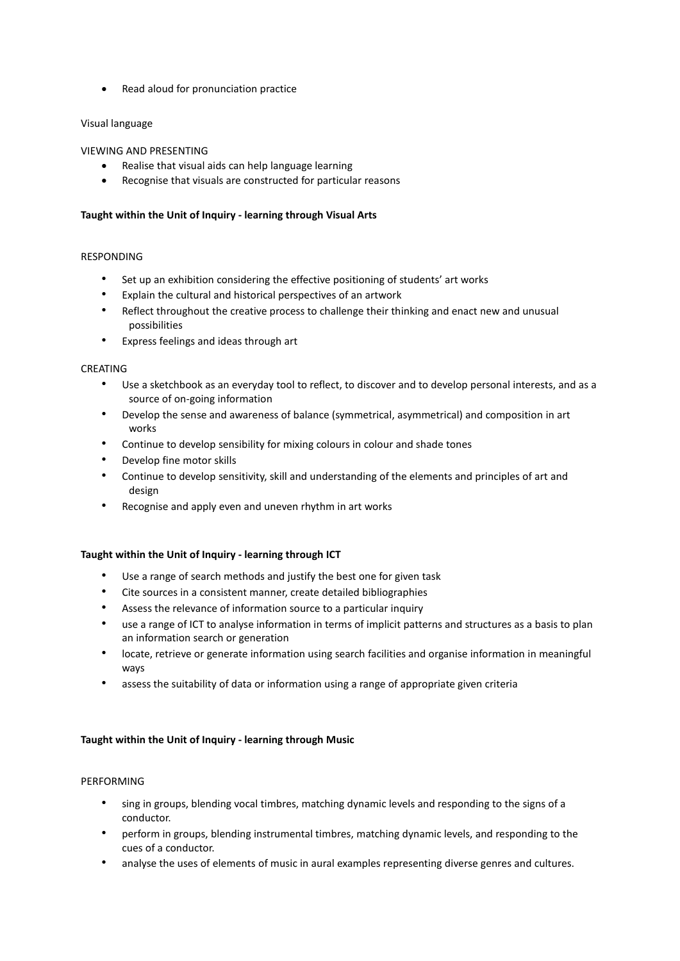• Read aloud for pronunciation practice

# Visual language

# VIEWING AND PRESENTING

- Realise that visual aids can help language learning
- Recognise that visuals are constructed for particular reasons

# **Taught within the Unit of Inquiry - learning through Visual Arts**

# RESPONDING

- Set up an exhibition considering the effective positioning of students' art works
- Explain the cultural and historical perspectives of an artwork
- Reflect throughout the creative process to challenge their thinking and enact new and unusual possibilities
- Express feelings and ideas through art

# CREATING

- Use a sketchbook as an everyday tool to reflect, to discover and to develop personal interests, and as a source of on-going information
- Develop the sense and awareness of balance (symmetrical, asymmetrical) and composition in art works
- Continue to develop sensibility for mixing colours in colour and shade tones
- Develop fine motor skills
- Continue to develop sensitivity, skill and understanding of the elements and principles of art and design
- Recognise and apply even and uneven rhythm in art works

# **Taught within the Unit of Inquiry - learning through ICT**

- Use a range of search methods and justify the best one for given task
- Cite sources in a consistent manner, create detailed bibliographies
- Assess the relevance of information source to a particular inquiry
- use a range of ICT to analyse information in terms of implicit patterns and structures as a basis to plan an information search or generation
- locate, retrieve or generate information using search facilities and organise information in meaningful ways
- assess the suitability of data or information using a range of appropriate given criteria

# **Taught within the Unit of Inquiry - learning through Music**

# PERFORMING

- sing in groups, blending vocal timbres, matching dynamic levels and responding to the signs of a conductor.
- perform in groups, blending instrumental timbres, matching dynamic levels, and responding to the cues of a conductor.
- analyse the uses of elements of music in aural examples representing diverse genres and cultures.